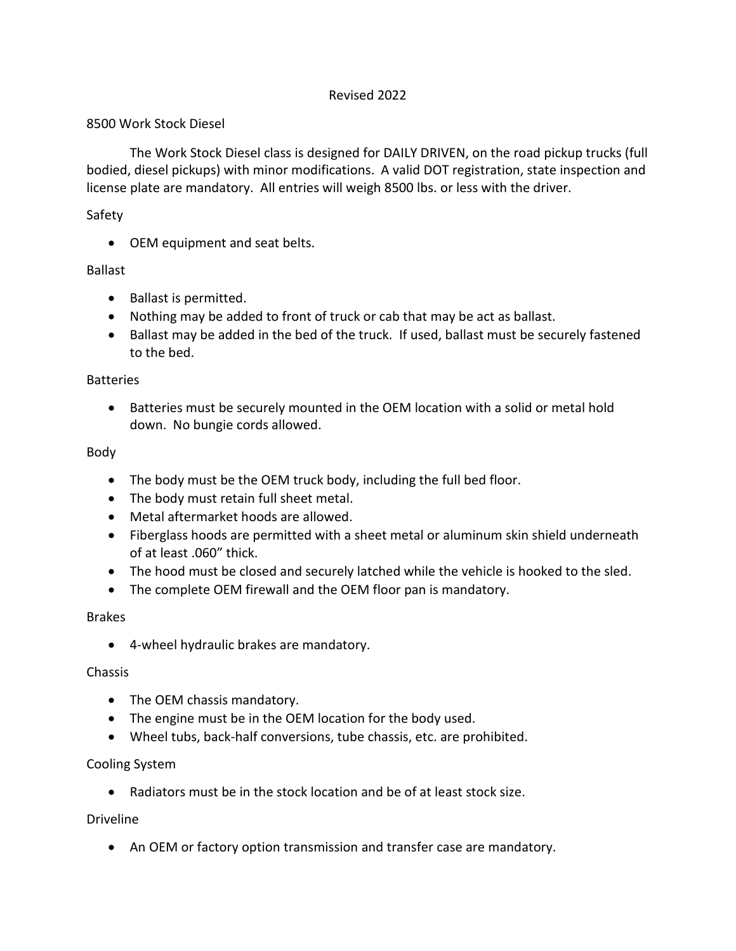## Revised 2022

### 8500 Work Stock Diesel

The Work Stock Diesel class is designed for DAILY DRIVEN, on the road pickup trucks (full bodied, diesel pickups) with minor modifications. A valid DOT registration, state inspection and license plate are mandatory. All entries will weigh 8500 lbs. or less with the driver.

## Safety

• OEM equipment and seat belts.

## Ballast

- Ballast is permitted.
- Nothing may be added to front of truck or cab that may be act as ballast.
- Ballast may be added in the bed of the truck. If used, ballast must be securely fastened to the bed.

#### Batteries

• Batteries must be securely mounted in the OEM location with a solid or metal hold down. No bungie cords allowed.

#### Body

- The body must be the OEM truck body, including the full bed floor.
- The body must retain full sheet metal.
- Metal aftermarket hoods are allowed.
- Fiberglass hoods are permitted with a sheet metal or aluminum skin shield underneath of at least .060" thick.
- The hood must be closed and securely latched while the vehicle is hooked to the sled.
- The complete OEM firewall and the OEM floor pan is mandatory.

#### Brakes

• 4-wheel hydraulic brakes are mandatory.

#### Chassis

- The OEM chassis mandatory.
- The engine must be in the OEM location for the body used.
- Wheel tubs, back-half conversions, tube chassis, etc. are prohibited.

#### Cooling System

• Radiators must be in the stock location and be of at least stock size.

#### Driveline

• An OEM or factory option transmission and transfer case are mandatory.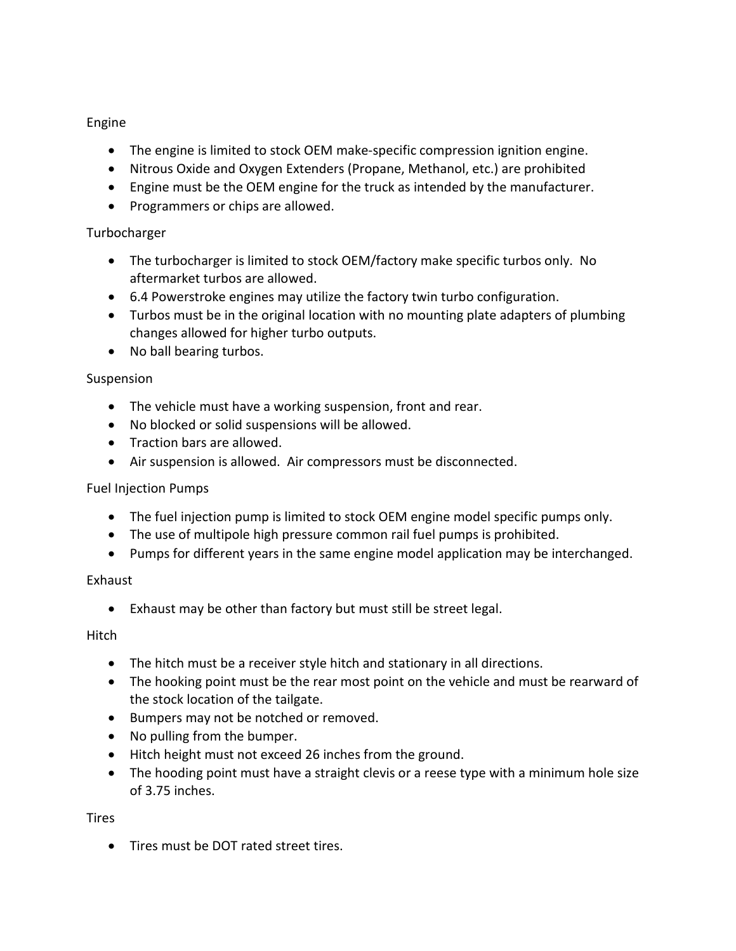## Engine

- The engine is limited to stock OEM make-specific compression ignition engine.
- Nitrous Oxide and Oxygen Extenders (Propane, Methanol, etc.) are prohibited
- Engine must be the OEM engine for the truck as intended by the manufacturer.
- Programmers or chips are allowed.

# Turbocharger

- The turbocharger is limited to stock OEM/factory make specific turbos only. No aftermarket turbos are allowed.
- 6.4 Powerstroke engines may utilize the factory twin turbo configuration.
- Turbos must be in the original location with no mounting plate adapters of plumbing changes allowed for higher turbo outputs.
- No ball bearing turbos.

# Suspension

- The vehicle must have a working suspension, front and rear.
- No blocked or solid suspensions will be allowed.
- Traction bars are allowed.
- Air suspension is allowed. Air compressors must be disconnected.

## Fuel Injection Pumps

- The fuel injection pump is limited to stock OEM engine model specific pumps only.
- The use of multipole high pressure common rail fuel pumps is prohibited.
- Pumps for different years in the same engine model application may be interchanged.

## Exhaust

• Exhaust may be other than factory but must still be street legal.

Hitch

- The hitch must be a receiver style hitch and stationary in all directions.
- The hooking point must be the rear most point on the vehicle and must be rearward of the stock location of the tailgate.
- Bumpers may not be notched or removed.
- No pulling from the bumper.
- Hitch height must not exceed 26 inches from the ground.
- The hooding point must have a straight clevis or a reese type with a minimum hole size of 3.75 inches.

Tires

• Tires must be DOT rated street tires.